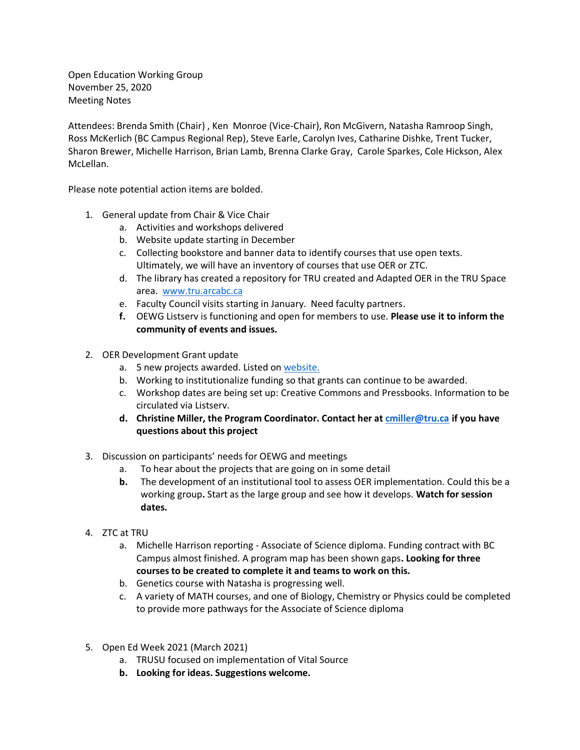Open Education Working Group November 25, 2020 Meeting Notes

Attendees: Brenda Smith (Chair) , Ken Monroe (Vice-Chair), Ron McGivern, Natasha Ramroop Singh, Ross McKerlich (BC Campus Regional Rep), Steve Earle, Carolyn Ives, Catharine Dishke, Trent Tucker, Sharon Brewer, Michelle Harrison, Brian Lamb, Brenna Clarke Gray, Carole Sparkes, Cole Hickson, Alex McLellan.

Please note potential action items are bolded.

- 1. General update from Chair & Vice Chair
	- a. Activities and workshops delivered
	- b. Website update starting in December
	- c. Collecting bookstore and banner data to identify courses that use open texts. Ultimately, we will have an inventory of courses that use OER or ZTC.
	- d. The library has created a repository for TRU created and Adapted OER in the TRU Space area. [www.tru.arcabc.ca](http://www.tru.arcabc.ca/)
	- e. Faculty Council visits starting in January. Need faculty partners.
	- **f.** OEWG Listserv is functioning and open for members to use. **Please use it to inform the community of events and issues.**
- 2. OER Development Grant update
	- a. 5 new projects awarded. Listed on [website.](https://oewg.trubox.ca/)
	- b. Working to institutionalize funding so that grants can continue to be awarded.
	- c. Workshop dates are being set up: Creative Commons and Pressbooks. Information to be circulated via Listserv.
	- **d. Christine Miller, the Program Coordinator. Contact her at [cmiller@tru.ca](mailto:cmiller@tru.ca) if you have questions about this project**
- 3. Discussion on participants' needs for OEWG and meetings
	- a. To hear about the projects that are going on in some detail
	- **b.** The development of an institutional tool to assess OER implementation. Could this be a working group**.** Start as the large group and see how it develops. **Watch for session dates.**
- 4. ZTC at TRU
	- a. Michelle Harrison reporting Associate of Science diploma. Funding contract with BC Campus almost finished. A program map has been shown gaps**. Looking for three courses to be created to complete it and teams to work on this.**
	- b. Genetics course with Natasha is progressing well.
	- c. A variety of MATH courses, and one of Biology, Chemistry or Physics could be completed to provide more pathways for the Associate of Science diploma
- 5. Open Ed Week 2021 (March 2021)
	- a. TRUSU focused on implementation of Vital Source
	- **b. Looking for ideas. Suggestions welcome.**